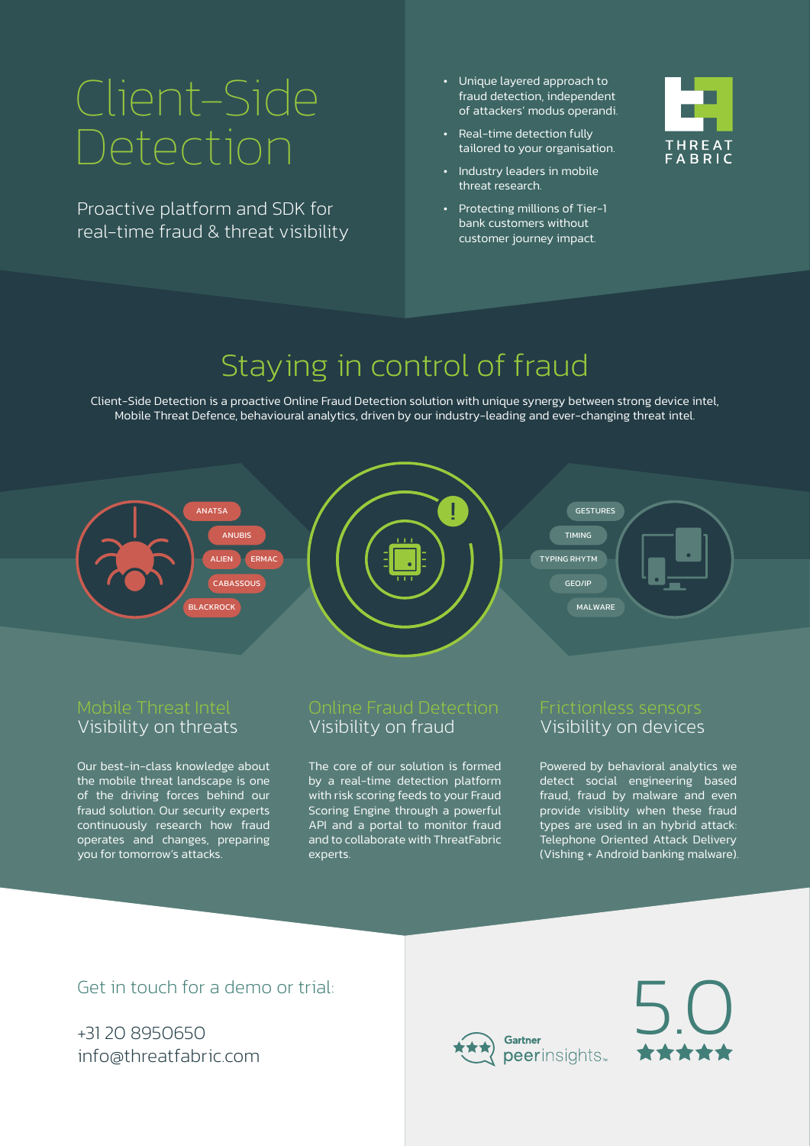# Client-Side Detection

Proactive platform and SDK for real-time fraud & threat visibility

- Unique layered approach to fraud detection, independent of attackers' modus operandi.
- Real-time detection fully tailored to your organisation.
- Industry leaders in mobile threat research.
- Protecting millions of Tier-1 bank customers without customer journey impact.



### Staying in control of fraud

Client-Side Detection is a proactive Online Fraud Detection solution with unique synergy between strong device intel, Mobile Threat Defence, behavioural analytics, driven by our industry-leading and ever-changing threat intel.



#### Mobile Threat Intel Visibility on threats

Our best-in-class knowledge about the mobile threat landscape is one of the driving forces behind our fraud solution. Our security experts continuously research how fraud operates and changes, preparing you for tomorrow's attacks.

## Visibility on fraud

The core of our solution is formed by a real-time detection platform with risk scoring feeds to your Fraud Scoring Engine through a powerful API and a portal to monitor fraud and to collaborate with ThreatFabric experts.

#### Frictionless sensors Visibility on devices

Powered by behavioral analytics we detect social engineering based fraud, fraud by malware and even provide visiblity when these fraud types are used in an hybrid attack: Telephone Oriented Attack Delivery (Vishing + Android banking malware).

#### Get in touch for a demo or trial:

+31 20 8950650 info@threatfabric.com